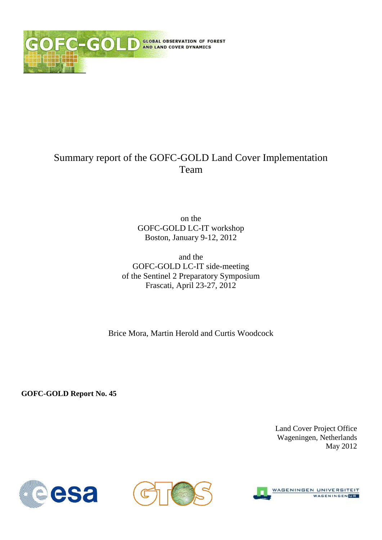

## Summary report of the GOFC-GOLD Land Cover Implementation Team

on the GOFC-GOLD LC-IT workshop Boston, January 9-12, 2012

and the GOFC-GOLD LC-IT side-meeting of the Sentinel 2 Preparatory Symposium Frascati, April 23-27, 2012

Brice Mora, Martin Herold and Curtis Woodcock

**GOFC-GOLD Report No. 45**

Land Cover Project Office Wageningen, Netherlands May 2012





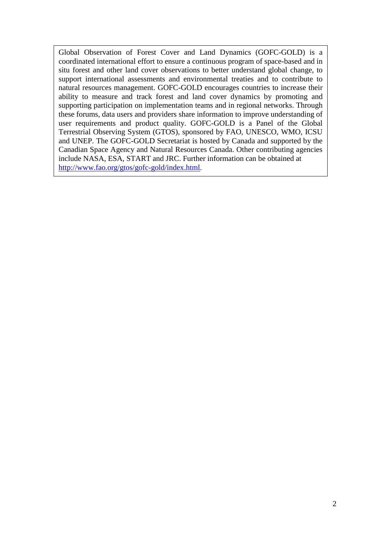Global Observation of Forest Cover and Land Dynamics (GOFC-GOLD) is a coordinated international effort to ensure a continuous program of space-based and in situ forest and other land cover observations to better understand global change, to support international assessments and environmental treaties and to contribute to natural resources management. GOFC-GOLD encourages countries to increase their ability to measure and track forest and land cover dynamics by promoting and supporting participation on implementation teams and in regional networks. Through these forums, data users and providers share information to improve understanding of user requirements and product quality. GOFC-GOLD is a Panel of the Global Terrestrial Observing System (GTOS), sponsored by FAO, UNESCO, WMO, ICSU and UNEP. The GOFC-GOLD Secretariat is hosted by Canada and supported by the Canadian Space Agency and Natural Resources Canada. Other contributing agencies include NASA, ESA, START and JRC. Further information can be obtained at [http://www.fao.org/gtos/gofc-gold/index.html.](http://www.fao.org/gtos/gofc-gold/index.html)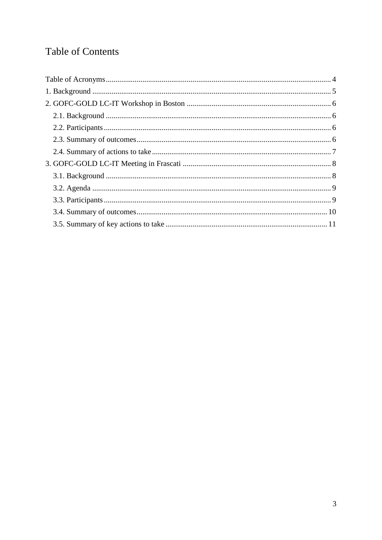# **Table of Contents**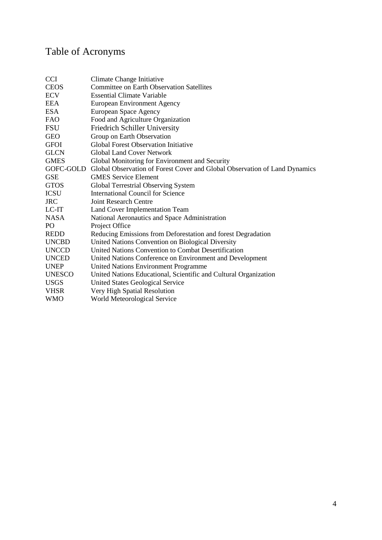# <span id="page-3-0"></span>Table of Acronyms

| <b>CCI</b>      | Climate Change Initiative                                                            |
|-----------------|--------------------------------------------------------------------------------------|
| <b>CEOS</b>     | <b>Committee on Earth Observation Satellites</b>                                     |
| <b>ECV</b>      | <b>Essential Climate Variable</b>                                                    |
| <b>EEA</b>      | <b>European Environment Agency</b>                                                   |
| <b>ESA</b>      | European Space Agency                                                                |
| <b>FAO</b>      | Food and Agriculture Organization                                                    |
| FSU             | <b>Friedrich Schiller University</b>                                                 |
| <b>GEO</b>      | Group on Earth Observation                                                           |
| <b>GFOI</b>     | <b>Global Forest Observation Initiative</b>                                          |
| <b>GLCN</b>     | <b>Global Land Cover Network</b>                                                     |
| <b>GMES</b>     | Global Monitoring for Environment and Security                                       |
|                 | GOFC-GOLD Global Observation of Forest Cover and Global Observation of Land Dynamics |
| <b>GSE</b>      | <b>GMES Service Element</b>                                                          |
| <b>GTOS</b>     | Global Terrestrial Observing System                                                  |
| <b>ICSU</b>     | International Council for Science                                                    |
| <b>JRC</b>      | <b>Joint Research Centre</b>                                                         |
| LC-IT           | Land Cover Implementation Team                                                       |
| <b>NASA</b>     | National Aeronautics and Space Administration                                        |
| PO <sub>1</sub> | Project Office                                                                       |
| <b>REDD</b>     | Reducing Emissions from Deforestation and forest Degradation                         |
| <b>UNCBD</b>    | United Nations Convention on Biological Diversity                                    |
| <b>UNCCD</b>    | United Nations Convention to Combat Desertification                                  |
| <b>UNCED</b>    | United Nations Conference on Environment and Development                             |
| <b>UNEP</b>     | <b>United Nations Environment Programme</b>                                          |
| <b>UNESCO</b>   | United Nations Educational, Scientific and Cultural Organization                     |
| <b>USGS</b>     | United States Geological Service                                                     |
| <b>VHSR</b>     | Very High Spatial Resolution                                                         |
| <b>WMO</b>      | World Meteorological Service                                                         |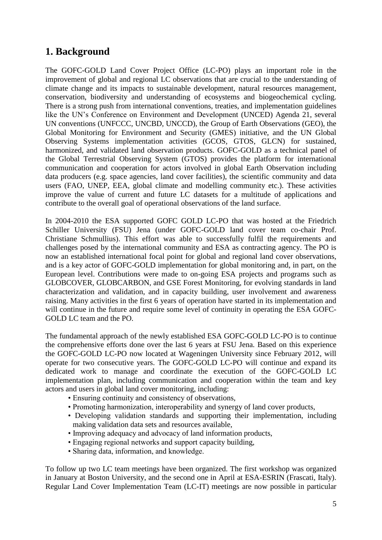### <span id="page-4-0"></span>**1. Background**

The GOFC-GOLD Land Cover Project Office (LC-PO) plays an important role in the improvement of global and regional LC observations that are crucial to the understanding of climate change and its impacts to sustainable development, natural resources management, conservation, biodiversity and understanding of ecosystems and biogeochemical cycling. There is a strong push from international conventions, treaties, and implementation guidelines like the UN's Conference on Environment and Development (UNCED) Agenda 21, several UN conventions (UNFCCC, UNCBD, UNCCD), the Group of Earth Observations (GEO), the Global Monitoring for Environment and Security (GMES) initiative, and the UN Global Observing Systems implementation activities (GCOS, GTOS, GLCN) for sustained, harmonized, and validated land observation products. GOFC-GOLD as a technical panel of the Global Terrestrial Observing System (GTOS) provides the platform for international communication and cooperation for actors involved in global Earth Observation including data producers (e.g. space agencies, land cover facilities), the scientific community and data users (FAO, UNEP, EEA, global climate and modelling community etc.). These activities improve the value of current and future LC datasets for a multitude of applications and contribute to the overall goal of operational observations of the land surface.

In 2004-2010 the ESA supported GOFC GOLD LC-PO that was hosted at the Friedrich Schiller University (FSU) Jena (under GOFC-GOLD land cover team co-chair Prof. Christiane Schmullius). This effort was able to successfully fulfil the requirements and challenges posed by the international community and ESA as contracting agency. The PO is now an established international focal point for global and regional land cover observations, and is a key actor of GOFC-GOLD implementation for global monitoring and, in part, on the European level. Contributions were made to on-going ESA projects and programs such as GLOBCOVER, GLOBCARBON, and GSE Forest Monitoring, for evolving standards in land characterization and validation, and in capacity building, user involvement and awareness raising. Many activities in the first 6 years of operation have started in its implementation and will continue in the future and require some level of continuity in operating the ESA GOFC-GOLD LC team and the PO.

The fundamental approach of the newly established ESA GOFC-GOLD LC-PO is to continue the comprehensive efforts done over the last 6 years at FSU Jena. Based on this experience the GOFC-GOLD LC-PO now located at Wageningen University since February 2012, will operate for two consecutive years. The GOFC-GOLD LC-PO will continue and expand its dedicated work to manage and coordinate the execution of the GOFC-GOLD LC implementation plan, including communication and cooperation within the team and key actors and users in global land cover monitoring, including:

- Ensuring continuity and consistency of observations,
- Promoting harmonization, interoperability and synergy of land cover products,
- Developing validation standards and supporting their implementation, including making validation data sets and resources available,
- Improving adequacy and advocacy of land information products,
- Engaging regional networks and support capacity building,
- Sharing data, information, and knowledge.

To follow up two LC team meetings have been organized. The first workshop was organized in January at Boston University, and the second one in April at ESA-ESRIN (Frascati, Italy). Regular Land Cover Implementation Team (LC-IT) meetings are now possible in particular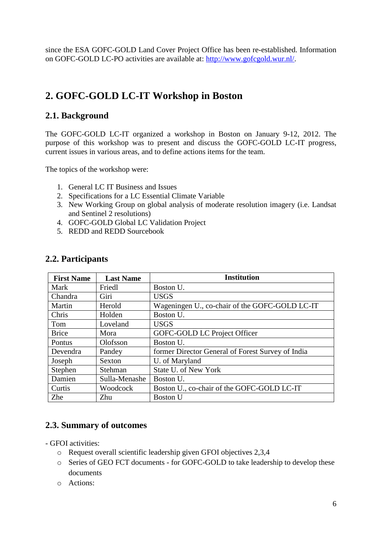since the ESA GOFC-GOLD Land Cover Project Office has been re-established. Information on GOFC-GOLD LC-PO activities are available at: [http://www.gofcgold.wur.nl/.](http://www.gofcgold.wur.nl/)

# <span id="page-5-0"></span>**2. GOFC-GOLD LC-IT Workshop in Boston**

### <span id="page-5-1"></span>**2.1. Background**

The GOFC-GOLD LC-IT organized a workshop in Boston on January 9-12, 2012. The purpose of this workshop was to present and discuss the GOFC-GOLD LC-IT progress, current issues in various areas, and to define actions items for the team.

The topics of the workshop were:

- 1. General LC IT Business and Issues
- 2. Specifications for a LC Essential Climate Variable
- 3. New Working Group on global analysis of moderate resolution imagery (i.e. Landsat and Sentinel 2 resolutions)
- 4. GOFC-GOLD Global LC Validation Project
- 5. REDD and REDD Sourcebook

| <b>First Name</b> | <b>Last Name</b> | <b>Institution</b>                                |
|-------------------|------------------|---------------------------------------------------|
| Mark              | Friedl           | Boston U.                                         |
| Chandra           | Giri             | <b>USGS</b>                                       |
| Martin            | Herold           | Wageningen U., co-chair of the GOFC-GOLD LC-IT    |
| Chris             | Holden           | Boston U.                                         |
| Tom               | Loveland         | <b>USGS</b>                                       |
| <b>Brice</b>      | Mora             | GOFC-GOLD LC Project Officer                      |
| Pontus            | Olofsson         | Boston U.                                         |
| Devendra          | Pandey           | former Director General of Forest Survey of India |
| Joseph            | Sexton           | U. of Maryland                                    |
| Stephen           | Stehman          | <b>State U. of New York</b>                       |
| Damien            | Sulla-Menashe    | Boston U.                                         |
| Curtis            | Woodcock         | Boston U., co-chair of the GOFC-GOLD LC-IT        |
| Zhe               | Zhu              | <b>Boston U</b>                                   |

#### <span id="page-5-2"></span>**2.2. Participants**

### <span id="page-5-3"></span>**2.3. Summary of outcomes**

- GFOI activities:

- o Request overall scientific leadership given GFOI objectives 2,3,4
- o Series of GEO FCT documents for GOFC-GOLD to take leadership to develop these documents
- o Actions: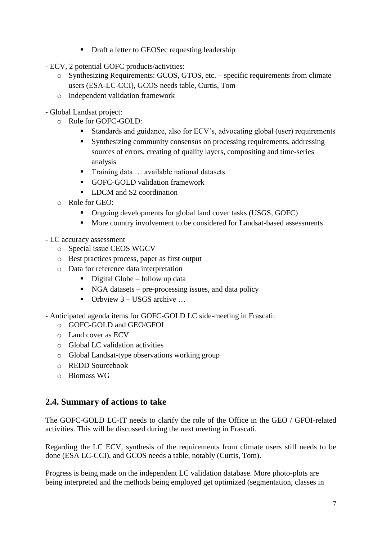- Draft a letter to GEOSec requesting leadership
- ECV, 2 potential GOFC products/activities:
	- o Synthesizing Requirements: GCOS, GTOS, etc. specific requirements from climate users (ESA-LC-CCI), GCOS needs table, Curtis, Tom
	- o Independent validation framework
- Global Landsat project:
	- o Role for GOFC-GOLD:
		- Standards and guidance, also for ECV's, advocating global (user) requirements
		- Synthesizing community consensus on processing requirements, addressing sources of errors, creating of quality layers, compositing and time-series analysis
		- Training data ... available national datasets
		- GOFC-GOLD validation framework
		- LDCM and S2 coordination
	- o Role for GEO:
		- Ongoing developments for global land cover tasks (USGS, GOFC)
		- More country involvement to be considered for Landsat-based assessments
- LC accuracy assessment
	- o Special issue CEOS WGCV
	- o Best practices process, paper as first output
	- o Data for reference data interpretation
		- $\blacksquare$  Digital Globe follow up data
		- NGA datasets pre-processing issues, and data policy
		- $\blacksquare$  Orbview 3 USGS archive
- Anticipated agenda items for GOFC-GOLD LC side-meeting in Frascati:
	- o GOFC-GOLD and GEO/GFOI
	- o Land cover as ECV
	- o Global LC validation activities
	- o Global Landsat-type observations working group
	- o REDD Sourcebook
	- o Biomass WG

#### <span id="page-6-0"></span>**2.4. Summary of actions to take**

The GOFC-GOLD LC-IT needs to clarify the role of the Office in the GEO / GFOI-related activities. This will be discussed during the next meeting in Frascati.

Regarding the LC ECV, synthesis of the requirements from climate users still needs to be done (ESA LC-CCI), and GCOS needs a table, notably (Curtis, Tom).

Progress is being made on the independent LC validation database. More photo-plots are being interpreted and the methods being employed get optimized (segmentation, classes in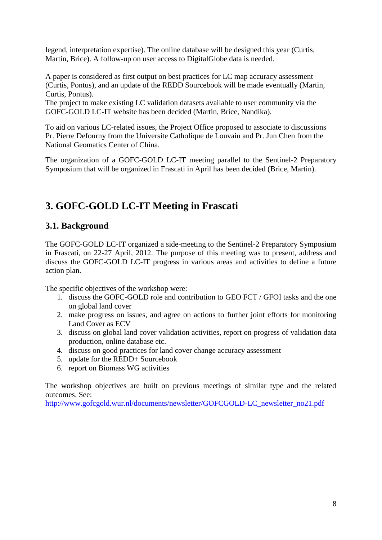legend, interpretation expertise). The online database will be designed this year (Curtis, Martin, Brice). A follow-up on user access to DigitalGlobe data is needed.

A paper is considered as first output on best practices for LC map accuracy assessment (Curtis, Pontus), and an update of the REDD Sourcebook will be made eventually (Martin, Curtis, Pontus).

The project to make existing LC validation datasets available to user community via the GOFC-GOLD LC-IT website has been decided (Martin, Brice, Nandika).

To aid on various LC-related issues, the Project Office proposed to associate to discussions Pr. Pierre Defourny from the Universite Catholique de Louvain and Pr. Jun Chen from the National Geomatics Center of China.

The organization of a GOFC-GOLD LC-IT meeting parallel to the Sentinel-2 Preparatory Symposium that will be organized in Frascati in April has been decided (Brice, Martin).

## <span id="page-7-0"></span>**3. GOFC-GOLD LC-IT Meeting in Frascati**

### <span id="page-7-1"></span>**3.1. Background**

The GOFC-GOLD LC-IT organized a side-meeting to the Sentinel-2 Preparatory Symposium in Frascati, on 22-27 April, 2012. The purpose of this meeting was to present, address and discuss the GOFC-GOLD LC-IT progress in various areas and activities to define a future action plan.

The specific objectives of the workshop were:

- 1. discuss the GOFC-GOLD role and contribution to GEO FCT / GFOI tasks and the one on global land cover
- 2. make progress on issues, and agree on actions to further joint efforts for monitoring Land Cover as ECV
- 3. discuss on global land cover validation activities, report on progress of validation data production, online database etc.
- 4. discuss on good practices for land cover change accuracy assessment
- 5. update for the REDD+ Sourcebook
- 6. report on Biomass WG activities

The workshop objectives are built on previous meetings of similar type and the related outcomes. See:

[http://www.gofcgold.wur.nl/documents/newsletter/GOFCGOLD-LC\\_newsletter\\_no21.pdf](http://www.gofcgold.wur.nl/documents/newsletter/GOFCGOLD-LC_newsletter_no21.pdf)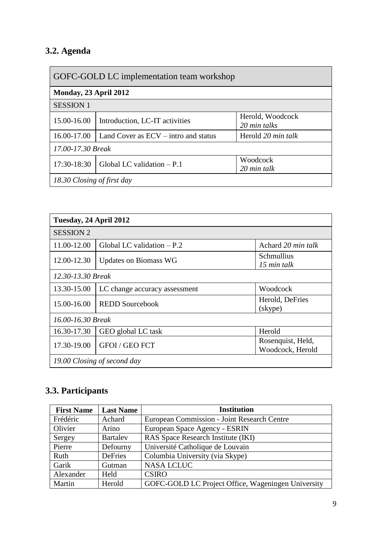# <span id="page-8-0"></span>**3.2. Agenda**

| GOFC-GOLD LC implementation team workshop |                                        |                                  |  |
|-------------------------------------------|----------------------------------------|----------------------------------|--|
| Monday, 23 April 2012                     |                                        |                                  |  |
| <b>SESSION 1</b>                          |                                        |                                  |  |
| 15.00-16.00                               | Introduction, LC-IT activities         | Herold, Woodcock<br>20 min talks |  |
| 16.00-17.00                               | Land Cover as $ECV - intro$ and status | Herold 20 min talk               |  |
| 17.00-17.30 Break                         |                                        |                                  |  |
| 17:30-18:30                               | Global LC validation $- P.1$           | Woodcock<br>20 min talk          |  |
| 18.30 Closing of first day                |                                        |                                  |  |

| Tuesday, 24 April 2012      |                                                           |                                       |  |
|-----------------------------|-----------------------------------------------------------|---------------------------------------|--|
| <b>SESSION 2</b>            |                                                           |                                       |  |
| 11.00-12.00                 | Global LC validation $- P.2$<br>Achard 20 min talk        |                                       |  |
| 12.00-12.30                 | Schmullius<br><b>Updates on Biomass WG</b><br>15 min talk |                                       |  |
| 12.30-13.30 Break           |                                                           |                                       |  |
| 13.30-15.00                 | Woodcock<br>LC change accuracy assessment                 |                                       |  |
| 15.00-16.00                 | <b>REDD Sourcebook</b>                                    | Herold, DeFries<br>(skype)            |  |
| 16.00-16.30 Break           |                                                           |                                       |  |
| 16.30-17.30                 | Herold<br>GEO global LC task                              |                                       |  |
| 17.30-19.00                 | <b>GFOI / GEO FCT</b>                                     | Rosenquist, Held,<br>Woodcock, Herold |  |
| 19.00 Closing of second day |                                                           |                                       |  |

# <span id="page-8-1"></span>**3.3. Participants**

| <b>First Name</b> | <b>Last Name</b> | <b>Institution</b>                                 |
|-------------------|------------------|----------------------------------------------------|
| Frédéric          | Achard           | European Commission - Joint Research Centre        |
| Olivier           | Arino            | European Space Agency - ESRIN                      |
| Sergey            | <b>Bartalev</b>  | RAS Space Research Institute (IKI)                 |
| Pierre            | Defourny         | Université Catholique de Louvain                   |
| Ruth              | DeFries          | Columbia University (via Skype)                    |
| Garik             | Gutman           | <b>NASA LCLUC</b>                                  |
| Alexander         | Held             | <b>CSIRO</b>                                       |
| Martin            | Herold           | GOFC-GOLD LC Project Office, Wageningen University |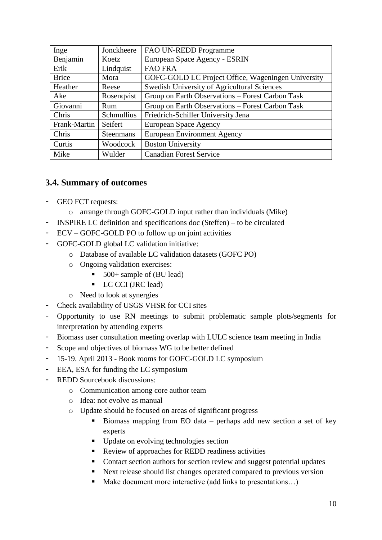| Inge         | Jonckheere        | FAO UN-REDD Programme                              |
|--------------|-------------------|----------------------------------------------------|
| Benjamin     | Koetz             | European Space Agency - ESRIN                      |
| Erik         | Lindquist         | <b>FAO FRA</b>                                     |
| <b>Brice</b> | Mora              | GOFC-GOLD LC Project Office, Wageningen University |
| Heather      | Reese             | Swedish University of Agricultural Sciences        |
| Ake          | Rosenqvist        | Group on Earth Observations – Forest Carbon Task   |
| Giovanni     | Rum               | Group on Earth Observations – Forest Carbon Task   |
| Chris        | <b>Schmullius</b> | Friedrich-Schiller University Jena                 |
| Frank-Martin | Seifert           | European Space Agency                              |
| Chris        | <b>Steenmans</b>  | <b>European Environment Agency</b>                 |
| Curtis       | Woodcock          | <b>Boston University</b>                           |
| Mike         | Wulder            | <b>Canadian Forest Service</b>                     |

### <span id="page-9-0"></span>**3.4. Summary of outcomes**

- GEO FCT requests:
	- o arrange through GOFC-GOLD input rather than individuals (Mike)
	- INSPIRE LC definition and specifications doc (Steffen) to be circulated
- ECV GOFC-GOLD PO to follow up on joint activities
- GOFC-GOLD global LC validation initiative:
	- o Database of available LC validation datasets (GOFC PO)
	- o Ongoing validation exercises:
		- 500+ sample of (BU lead)
		- **LC CCI (JRC lead)**
	- o Need to look at synergies
- Check availability of USGS VHSR for CCI sites
- Opportunity to use RN meetings to submit problematic sample plots/segments for interpretation by attending experts
- Biomass user consultation meeting overlap with LULC science team meeting in India
- Scope and objectives of biomass WG to be better defined
- 15-19. April 2013 Book rooms for GOFC-GOLD LC symposium
- EEA, ESA for funding the LC symposium
- REDD Sourcebook discussions:
	- o Communication among core author team
	- o Idea: not evolve as manual
	- o Update should be focused on areas of significant progress
		- Biomass mapping from EO data perhaps add new section a set of key experts
		- Update on evolving technologies section
		- Review of approaches for REDD readiness activities
		- Contact section authors for section review and suggest potential updates
		- Next release should list changes operated compared to previous version
		- Make document more interactive (add links to presentations...)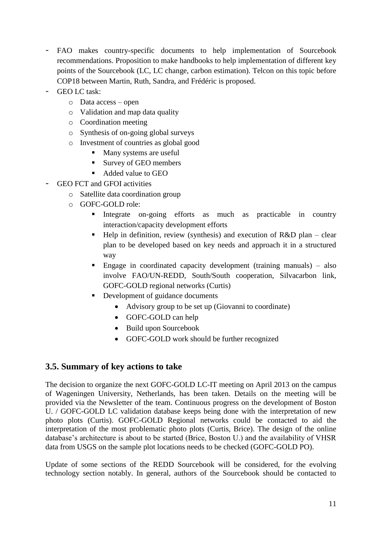- FAO makes country-specific documents to help implementation of Sourcebook recommendations. Proposition to make handbooks to help implementation of different key points of the Sourcebook (LC, LC change, carbon estimation). Telcon on this topic before COP18 between Martin, Ruth, Sandra, and Frédéric is proposed.
- GEO LC task:
	- o Data access open
	- o Validation and map data quality
	- o Coordination meeting
	- o Synthesis of on-going global surveys
	- o Investment of countries as global good
		- Many systems are useful
		- Survey of GEO members
		- Added value to GEO
- GEO FCT and GFOI activities
	- o Satellite data coordination group
	- o GOFC-GOLD role:
		- Integrate on-going efforts as much as practicable in country interaction/capacity development efforts
		- $\blacksquare$  Help in definition, review (synthesis) and execution of R&D plan clear plan to be developed based on key needs and approach it in a structured way
		- Engage in coordinated capacity development (training manuals) also involve FAO/UN-REDD, South/South cooperation, Silvacarbon link, GOFC-GOLD regional networks (Curtis)
		- Development of guidance documents
			- Advisory group to be set up (Giovanni to coordinate)
			- GOFC-GOLD can help
			- Build upon Sourcebook
			- GOFC-GOLD work should be further recognized

### <span id="page-10-0"></span>**3.5. Summary of key actions to take**

The decision to organize the next GOFC-GOLD LC-IT meeting on April 2013 on the campus of Wageningen University, Netherlands, has been taken. Details on the meeting will be provided via the Newsletter of the team. Continuous progress on the development of Boston U. / GOFC-GOLD LC validation database keeps being done with the interpretation of new photo plots (Curtis). GOFC-GOLD Regional networks could be contacted to aid the interpretation of the most problematic photo plots (Curtis, Brice). The design of the online database's architecture is about to be started (Brice, Boston U.) and the availability of VHSR data from USGS on the sample plot locations needs to be checked (GOFC-GOLD PO).

Update of some sections of the REDD Sourcebook will be considered, for the evolving technology section notably. In general, authors of the Sourcebook should be contacted to